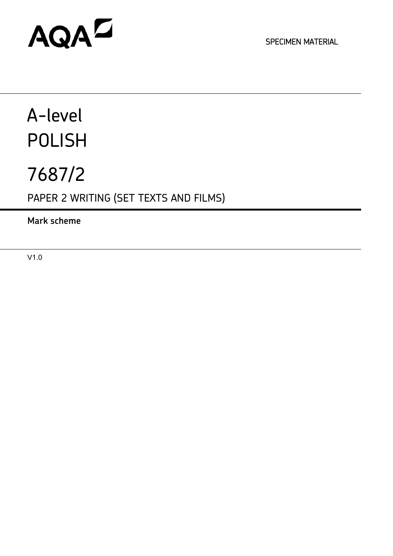# AQAD

SPECIMEN MATERIAL

# A-level POLISH

# 7687/2

PAPER 2 WRITING (SET TEXTS AND FILMS)

**Mark scheme**

V1.0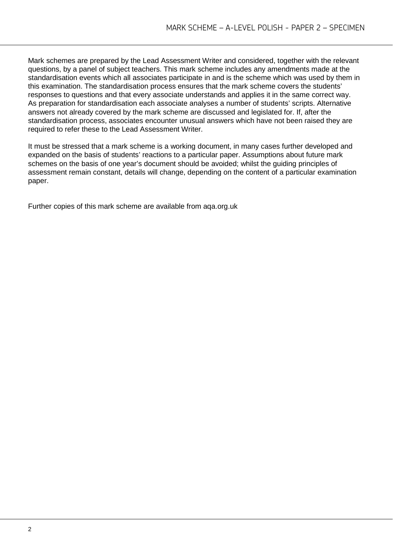Mark schemes are prepared by the Lead Assessment Writer and considered, together with the relevant questions, by a panel of subject teachers. This mark scheme includes any amendments made at the standardisation events which all associates participate in and is the scheme which was used by them in this examination. The standardisation process ensures that the mark scheme covers the students' responses to questions and that every associate understands and applies it in the same correct way. As preparation for standardisation each associate analyses a number of students' scripts. Alternative answers not already covered by the mark scheme are discussed and legislated for. If, after the standardisation process, associates encounter unusual answers which have not been raised they are required to refer these to the Lead Assessment Writer.

It must be stressed that a mark scheme is a working document, in many cases further developed and expanded on the basis of students' reactions to a particular paper. Assumptions about future mark schemes on the basis of one year's document should be avoided; whilst the guiding principles of assessment remain constant, details will change, depending on the content of a particular examination paper.

Further copies of this mark scheme are available from aqa.org.uk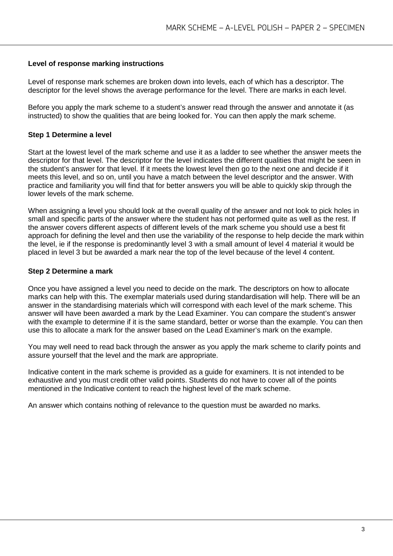#### **Level of response marking instructions**

Level of response mark schemes are broken down into levels, each of which has a descriptor. The descriptor for the level shows the average performance for the level. There are marks in each level.

Before you apply the mark scheme to a student's answer read through the answer and annotate it (as instructed) to show the qualities that are being looked for. You can then apply the mark scheme.

# **Step 1 Determine a level**

Start at the lowest level of the mark scheme and use it as a ladder to see whether the answer meets the descriptor for that level. The descriptor for the level indicates the different qualities that might be seen in the student's answer for that level. If it meets the lowest level then go to the next one and decide if it meets this level, and so on, until you have a match between the level descriptor and the answer. With practice and familiarity you will find that for better answers you will be able to quickly skip through the lower levels of the mark scheme.

When assigning a level you should look at the overall quality of the answer and not look to pick holes in small and specific parts of the answer where the student has not performed quite as well as the rest. If the answer covers different aspects of different levels of the mark scheme you should use a best fit approach for defining the level and then use the variability of the response to help decide the mark within the level, ie if the response is predominantly level 3 with a small amount of level 4 material it would be placed in level 3 but be awarded a mark near the top of the level because of the level 4 content.

#### **Step 2 Determine a mark**

Once you have assigned a level you need to decide on the mark. The descriptors on how to allocate marks can help with this. The exemplar materials used during standardisation will help. There will be an answer in the standardising materials which will correspond with each level of the mark scheme. This answer will have been awarded a mark by the Lead Examiner. You can compare the student's answer with the example to determine if it is the same standard, better or worse than the example. You can then use this to allocate a mark for the answer based on the Lead Examiner's mark on the example.

You may well need to read back through the answer as you apply the mark scheme to clarify points and assure yourself that the level and the mark are appropriate.

Indicative content in the mark scheme is provided as a guide for examiners. It is not intended to be exhaustive and you must credit other valid points. Students do not have to cover all of the points mentioned in the Indicative content to reach the highest level of the mark scheme.

An answer which contains nothing of relevance to the question must be awarded no marks.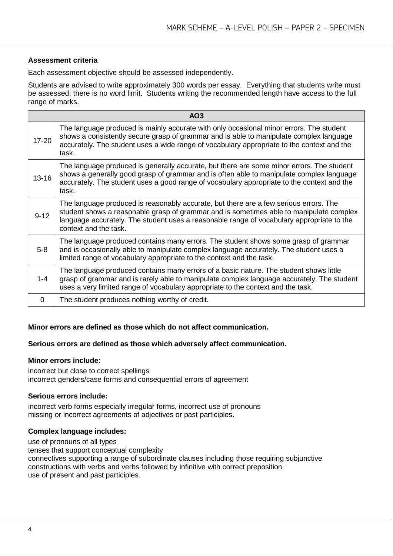# **Assessment criteria**

Each assessment objective should be assessed independently.

Students are advised to write approximately 300 words per essay. Everything that students write must be assessed; there is no word limit. Students writing the recommended length have access to the full range of marks.

| AO <sub>3</sub> |                                                                                                                                                                                                                                                                                                        |  |
|-----------------|--------------------------------------------------------------------------------------------------------------------------------------------------------------------------------------------------------------------------------------------------------------------------------------------------------|--|
| $17 - 20$       | The language produced is mainly accurate with only occasional minor errors. The student<br>shows a consistently secure grasp of grammar and is able to manipulate complex language<br>accurately. The student uses a wide range of vocabulary appropriate to the context and the<br>task.              |  |
| $13 - 16$       | The language produced is generally accurate, but there are some minor errors. The student<br>shows a generally good grasp of grammar and is often able to manipulate complex language<br>accurately. The student uses a good range of vocabulary appropriate to the context and the<br>task.           |  |
| $9 - 12$        | The language produced is reasonably accurate, but there are a few serious errors. The<br>student shows a reasonable grasp of grammar and is sometimes able to manipulate complex<br>language accurately. The student uses a reasonable range of vocabulary appropriate to the<br>context and the task. |  |
| $5-8$           | The language produced contains many errors. The student shows some grasp of grammar<br>and is occasionally able to manipulate complex language accurately. The student uses a<br>limited range of vocabulary appropriate to the context and the task.                                                  |  |
| $1 - 4$         | The language produced contains many errors of a basic nature. The student shows little<br>grasp of grammar and is rarely able to manipulate complex language accurately. The student<br>uses a very limited range of vocabulary appropriate to the context and the task.                               |  |
| $\Omega$        | The student produces nothing worthy of credit.                                                                                                                                                                                                                                                         |  |

#### **Minor errors are defined as those which do not affect communication.**

# **Serious errors are defined as those which adversely affect communication.**

#### **Minor errors include:**

incorrect but close to correct spellings incorrect genders/case forms and consequential errors of agreement

#### **Serious errors include:**

incorrect verb forms especially irregular forms, incorrect use of pronouns missing or incorrect agreements of adjectives or past participles.

#### **Complex language includes:**

use of pronouns of all types

tenses that support conceptual complexity

connectives supporting a range of subordinate clauses including those requiring subjunctive constructions with verbs and verbs followed by infinitive with correct preposition use of present and past participles.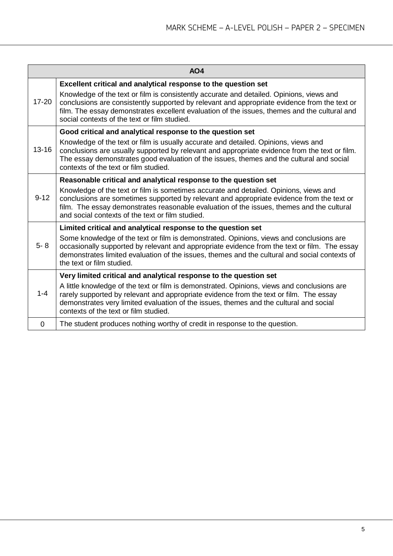| AO <sub>4</sub> |                                                                                                                                                                                                                                                                                                                                          |  |
|-----------------|------------------------------------------------------------------------------------------------------------------------------------------------------------------------------------------------------------------------------------------------------------------------------------------------------------------------------------------|--|
|                 | Excellent critical and analytical response to the question set                                                                                                                                                                                                                                                                           |  |
| $17 - 20$       | Knowledge of the text or film is consistently accurate and detailed. Opinions, views and<br>conclusions are consistently supported by relevant and appropriate evidence from the text or<br>film. The essay demonstrates excellent evaluation of the issues, themes and the cultural and<br>social contexts of the text or film studied. |  |
|                 | Good critical and analytical response to the question set                                                                                                                                                                                                                                                                                |  |
| $13 - 16$       | Knowledge of the text or film is usually accurate and detailed. Opinions, views and<br>conclusions are usually supported by relevant and appropriate evidence from the text or film.<br>The essay demonstrates good evaluation of the issues, themes and the cultural and social<br>contexts of the text or film studied.                |  |
| $9 - 12$        | Reasonable critical and analytical response to the question set                                                                                                                                                                                                                                                                          |  |
|                 | Knowledge of the text or film is sometimes accurate and detailed. Opinions, views and<br>conclusions are sometimes supported by relevant and appropriate evidence from the text or<br>film. The essay demonstrates reasonable evaluation of the issues, themes and the cultural<br>and social contexts of the text or film studied.      |  |
|                 | Limited critical and analytical response to the question set                                                                                                                                                                                                                                                                             |  |
| $5 - 8$         | Some knowledge of the text or film is demonstrated. Opinions, views and conclusions are<br>occasionally supported by relevant and appropriate evidence from the text or film. The essay<br>demonstrates limited evaluation of the issues, themes and the cultural and social contexts of<br>the text or film studied.                    |  |
| $1 - 4$         | Very limited critical and analytical response to the question set                                                                                                                                                                                                                                                                        |  |
|                 | A little knowledge of the text or film is demonstrated. Opinions, views and conclusions are<br>rarely supported by relevant and appropriate evidence from the text or film. The essay<br>demonstrates very limited evaluation of the issues, themes and the cultural and social<br>contexts of the text or film studied.                 |  |
| 0               | The student produces nothing worthy of credit in response to the question.                                                                                                                                                                                                                                                               |  |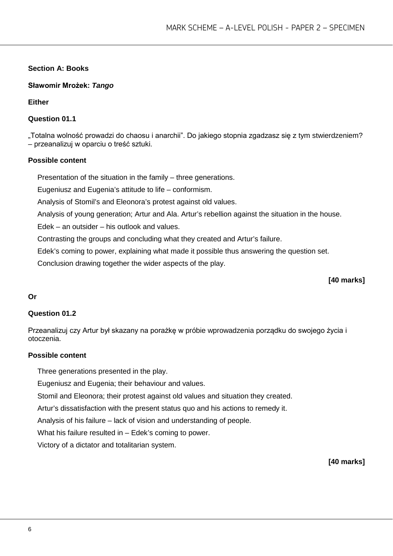# **Section A: Books**

**Sławomir Mrożek:** *Tango*

**Either**

# **Question 01.1**

"Totalna wolność prowadzi do chaosu i anarchii". Do jakiego stopnia zgadzasz się z tym stwierdzeniem? – przeanalizuj w oparciu o treść sztuki.

#### **Possible content**

Presentation of the situation in the family – three generations.

Eugeniusz and Eugenia's attitude to life – conformism.

Analysis of Stomil's and Eleonora's protest against old values.

Analysis of young generation; Artur and Ala. Artur's rebellion against the situation in the house.

Edek – an outsider – his outlook and values.

Contrasting the groups and concluding what they created and Artur's failure.

Edek's coming to power, explaining what made it possible thus answering the question set.

Conclusion drawing together the wider aspects of the play.

# **[40 marks]**

#### **Or**

#### **Question 01.2**

Przeanalizuj czy Artur był skazany na porażkę w próbie wprowadzenia porządku do swojego życia i otoczenia.

# **Possible content**

Three generations presented in the play.

Eugeniusz and Eugenia; their behaviour and values.

Stomil and Eleonora; their protest against old values and situation they created.

Artur's dissatisfaction with the present status quo and his actions to remedy it.

Analysis of his failure – lack of vision and understanding of people.

What his failure resulted in – Edek's coming to power.

Victory of a dictator and totalitarian system.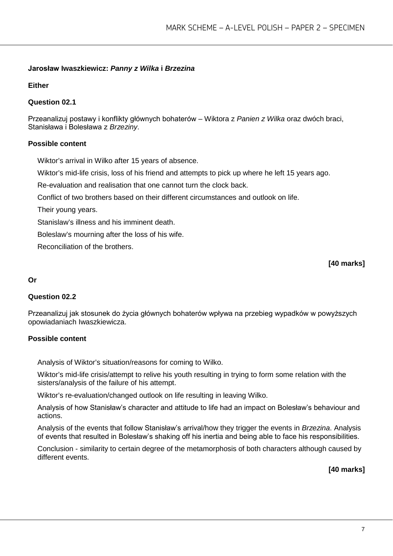# **Jarosław Iwaszkiewicz:** *Panny z Wilka* **i** *Brzezina*

#### **Either**

#### **Question 02.1**

Przeanalizuj postawy i konflikty głównych bohaterów – Wiktora z *Panien z Wilka* oraz dwóch braci, Stanisława i Bolesława z *Brzeziny*.

#### **Possible content**

Wiktor's arrival in Wilko after 15 years of absence.

Wiktor's mid-life crisis, loss of his friend and attempts to pick up where he left 15 years ago.

Re-evaluation and realisation that one cannot turn the clock back.

Conflict of two brothers based on their different circumstances and outlook on life.

Their young years.

Stanislaw's illness and his imminent death.

Boleslaw's mourning after the loss of his wife.

Reconciliation of the brothers.

#### **[40 marks]**

#### **Or**

#### **Question 02.2**

Przeanalizuj jak stosunek do życia głównych bohaterów wpływa na przebieg wypadków w powyższych opowiadaniach Iwaszkiewicza.

#### **Possible content**

Analysis of Wiktor's situation/reasons for coming to Wilko.

Wiktor's mid-life crisis/attempt to relive his youth resulting in trying to form some relation with the sisters/analysis of the failure of his attempt.

Wiktor's re-evaluation/changed outlook on life resulting in leaving Wilko.

Analysis of how Stanisław's character and attitude to life had an impact on Bolesław's behaviour and actions.

Analysis of the events that follow Stanisław's arrival/how they trigger the events in *Brzezina*. Analysis of events that resulted in Bolesław's shaking off his inertia and being able to face his responsibilities.

Conclusion - similarity to certain degree of the metamorphosis of both characters although caused by different events.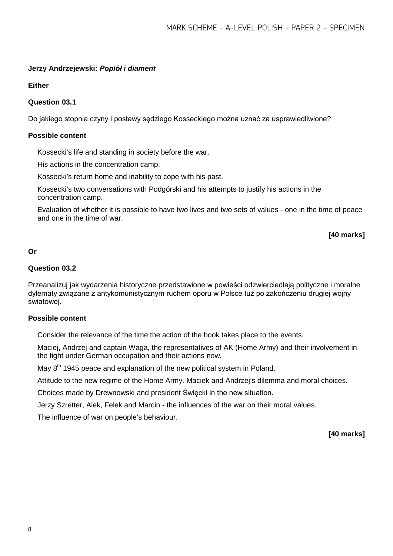# **Jerzy Andrzejewski:** *Popiół i diament*

**Either**

#### **Question 03.1**

Do jakiego stopnia czyny i postawy sędziego Kosseckiego można uznać za usprawiedliwione?

#### **Possible content**

Kossecki's life and standing in society before the war.

His actions in the concentration camp.

Kossecki's return home and inability to cope with his past.

Kossecki's two conversations with Podgórski and his attempts to justify his actions in the concentration camp.

Evaluation of whether it is possible to have two lives and two sets of values - one in the time of peace and one in the time of war.

**[40 marks]**

#### **Or**

### **Question 03.2**

Przeanalizuj jak wydarzenia historyczne przedstawione w powieści odzwierciedlają polityczne i moralne dylematy związane z antykomunistycznym ruchem oporu w Polsce tuż po zakończeniu drugiej wojny światowej.

#### **Possible content**

Consider the relevance of the time the action of the book takes place to the events.

Maciej, Andrzej and captain Waga, the representatives of AK (Home Army) and their involvement in the fight under German occupation and their actions now.

May 8<sup>th</sup> 1945 peace and explanation of the new political system in Poland.

Attitude to the new regime of the Home Army. Maciek and Andrzej's dilemma and moral choices.

Choices made by Drewnowski and president Święcki in the new situation.

Jerzy Szretter, Alek, Felek and Marcin - the influences of the war on their moral values.

The influence of war on people's behaviour.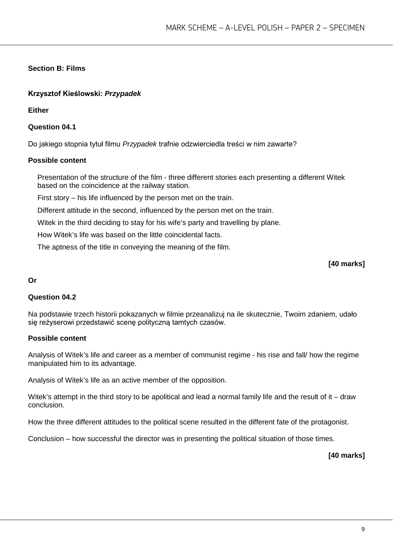# **Section B: Films**

# **Krzysztof Kieślowski:** *Przypadek*

**Either**

**Question 04.1**

Do jakiego stopnia tytuł filmu *Przypadek* trafnie odzwierciedla treści w nim zawarte?

#### **Possible content**

Presentation of the structure of the film - three different stories each presenting a different Witek based on the coincidence at the railway station.

First story – his life influenced by the person met on the train.

Different attitude in the second, influenced by the person met on the train.

Witek in the third deciding to stay for his wife's party and travelling by plane.

How Witek's life was based on the little coincidental facts.

The aptness of the title in conveying the meaning of the film.

#### **[40 marks]**

#### **Or**

#### **Question 04.2**

Na podstawie trzech historii pokazanych w filmie przeanalizuj na ile skutecznie, Twoim zdaniem, udało się reżyserowi przedstawić scenę polityczną tamtych czasów.

#### **Possible content**

Analysis of Witek's life and career as a member of communist regime - his rise and fall/ how the regime manipulated him to its advantage.

Analysis of Witek's life as an active member of the opposition.

Witek's attempt in the third story to be apolitical and lead a normal family life and the result of it – draw conclusion.

How the three different attitudes to the political scene resulted in the different fate of the protagonist.

Conclusion – how successful the director was in presenting the political situation of those times.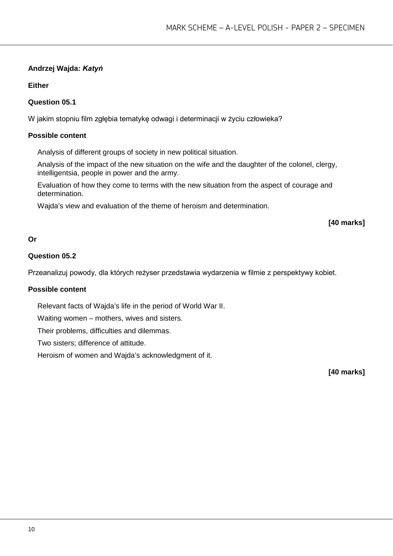# **Andrzej Wajda:** *Katyń*

# **Either**

# **Question 05.1**

W jakim stopniu film zgłębia tematykę odwagi i determinacji w życiu człowieka?

# **Possible content**

Analysis of different groups of society in new political situation.

Analysis of the impact of the new situation on the wife and the daughter of the colonel, clergy, intelligentsia, people in power and the army.

Evaluation of how they come to terms with the new situation from the aspect of courage and determination.

Wajda's view and evaluation of the theme of heroism and determination.

#### **[40 marks]**

#### **Or**

### **Question 05.2**

Przeanalizuj powody, dla których reżyser przedstawia wydarzenia w filmie z perspektywy kobiet.

#### **Possible content**

Relevant facts of Wajda's life in the period of World War II.

Waiting women – mothers, wives and sisters.

Their problems, difficulties and dilemmas.

Two sisters; difference of attitude.

Heroism of women and Wajda's acknowledgment of it.